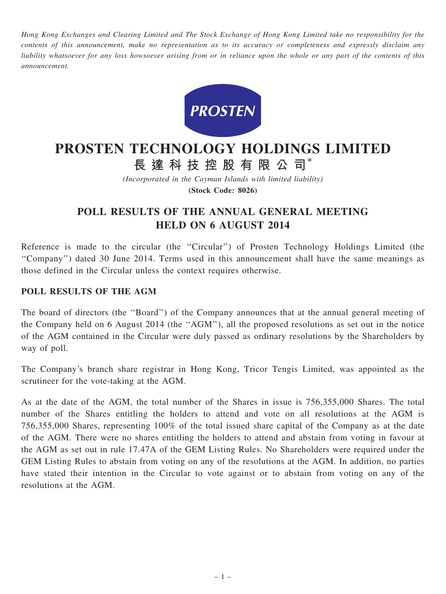Hong Kong Exchanges and Clearing Limited and The Stock Exchange of Hong Kong Limited take no responsibility for the contents of this announcement, make no representation as to its accuracy or completeness and expressly disclaim any liability whatsoever for any loss howsoever arising from or in reliance upon the whole or any part of the contents of this announcement.



# PROSTEN TECHNOLOGY HOLDINGS LIMITED

長 達 科 技 控 股 有 限 公 司\*

(Incorporated in the Cayman Islands with limited liability) (Stock Code: 8026)

## POLL RESULTS OF THE ANNUAL GENERAL MEETING HELD ON 6 AUGUST 2014

Reference is made to the circular (the "Circular") of Prosten Technology Holdings Limited (the ''Company'') dated 30 June 2014. Terms used in this announcement shall have the same meanings as those defined in the Circular unless the context requires otherwise.

#### POLL RESULTS OF THE AGM

The board of directors (the ''Board'') of the Company announces that at the annual general meeting of the Company held on 6 August 2014 (the ''AGM''), all the proposed resolutions as set out in the notice of the AGM contained in the Circular were duly passed as ordinary resolutions by the Shareholders by way of poll.

The Company's branch share registrar in Hong Kong, Tricor Tengis Limited, was appointed as the scrutineer for the vote-taking at the AGM.

As at the date of the AGM, the total number of the Shares in issue is 756,355,000 Shares. The total number of the Shares entitling the holders to attend and vote on all resolutions at the AGM is 756,355,000 Shares, representing 100% of the total issued share capital of the Company as at the date of the AGM. There were no shares entitling the holders to attend and abstain from voting in favour at the AGM as set out in rule 17.47A of the GEM Listing Rules. No Shareholders were required under the GEM Listing Rules to abstain from voting on any of the resolutions at the AGM. In addition, no parties have stated their intention in the Circular to vote against or to abstain from voting on any of the resolutions at the AGM.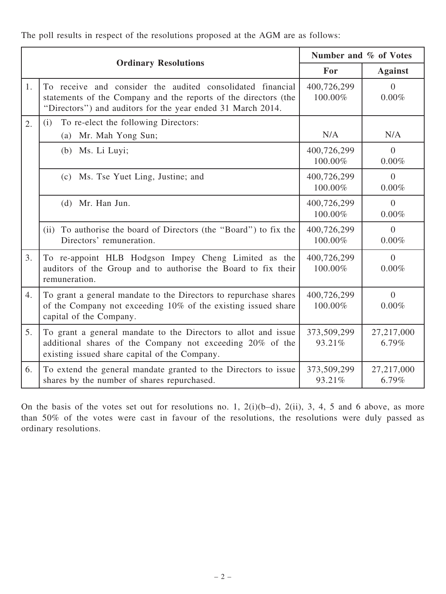The poll results in respect of the resolutions proposed at the AGM are as follows:

| <b>Ordinary Resolutions</b> |                                                                                                                                                                                              | Number and % of Votes  |                      |
|-----------------------------|----------------------------------------------------------------------------------------------------------------------------------------------------------------------------------------------|------------------------|----------------------|
|                             |                                                                                                                                                                                              | For                    | <b>Against</b>       |
| 1.                          | To receive and consider the audited consolidated financial<br>statements of the Company and the reports of the directors (the<br>"Directors") and auditors for the year ended 31 March 2014. | 400,726,299<br>100.00% | $\theta$<br>0.00%    |
| 2.                          | To re-elect the following Directors:<br>(i)<br>Mr. Mah Yong Sun;<br>(a)                                                                                                                      | N/A                    | N/A                  |
|                             | (b) Ms. Li Luyi;                                                                                                                                                                             | 400,726,299<br>100.00% | $\Omega$<br>0.00%    |
|                             | Ms. Tse Yuet Ling, Justine; and<br>(c)                                                                                                                                                       | 400,726,299<br>100.00% | $\Omega$<br>0.00%    |
|                             | $(d)$ Mr. Han Jun.                                                                                                                                                                           | 400,726,299<br>100.00% | $\Omega$<br>$0.00\%$ |
|                             | (ii) To authorise the board of Directors (the "Board") to fix the<br>Directors' remuneration.                                                                                                | 400,726,299<br>100.00% | $\theta$<br>0.00%    |
| 3.                          | To re-appoint HLB Hodgson Impey Cheng Limited as the<br>auditors of the Group and to authorise the Board to fix their<br>remuneration.                                                       | 400,726,299<br>100.00% | $\theta$<br>$0.00\%$ |
| 4.                          | To grant a general mandate to the Directors to repurchase shares<br>of the Company not exceeding 10% of the existing issued share<br>capital of the Company.                                 | 400,726,299<br>100.00% | $\Omega$<br>0.00%    |
| 5.                          | To grant a general mandate to the Directors to allot and issue<br>additional shares of the Company not exceeding 20% of the<br>existing issued share capital of the Company.                 | 373,509,299<br>93.21%  | 27,217,000<br>6.79%  |
| 6.                          | To extend the general mandate granted to the Directors to issue<br>shares by the number of shares repurchased.                                                                               | 373,509,299<br>93.21%  | 27,217,000<br>6.79%  |

On the basis of the votes set out for resolutions no. 1, 2(i)(b–d), 2(ii), 3, 4, 5 and 6 above, as more than 50% of the votes were cast in favour of the resolutions, the resolutions were duly passed as ordinary resolutions.